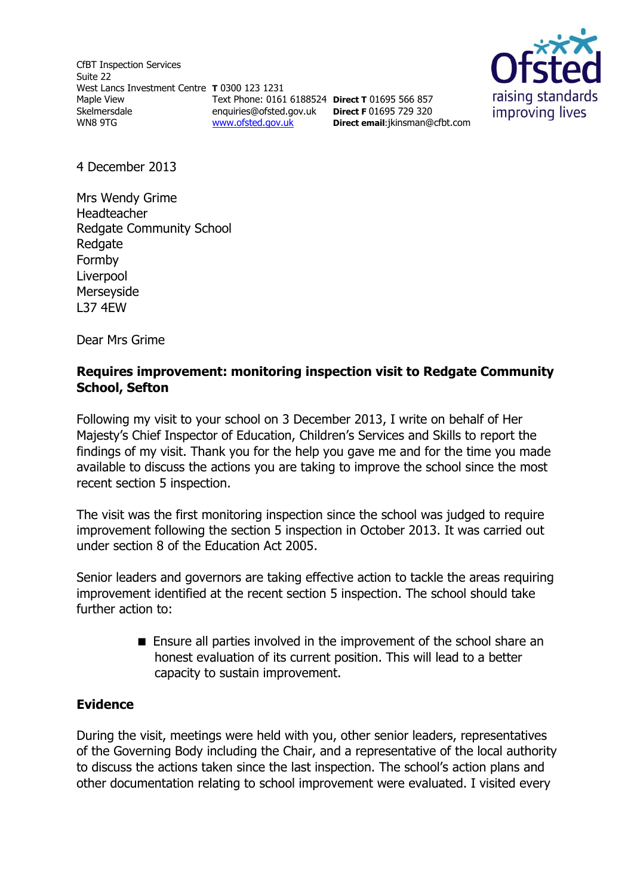CfBT Inspection Services Suite 22 West Lancs Investment Centre **T** 0300 123 1231 Maple View Skelmersdale WN8 9TG Text Phone: 0161 6188524 **Direct T** 01695 566 857 enquiries@ofsted.gov.uk **Direct F** 01695 729 320 [www.ofsted.gov.uk](http://www.ofsted.gov.uk/)



4 December 2013

Mrs Wendy Grime Headteacher Redgate Community School **Redgate** Formby Liverpool Merseyside L37 4EW

Dear Mrs Grime

#### **Requires improvement: monitoring inspection visit to Redgate Community School, Sefton**

**Direct email**:jkinsman@cfbt.com

Following my visit to your school on 3 December 2013, I write on behalf of Her Majesty's Chief Inspector of Education, Children's Services and Skills to report the findings of my visit. Thank you for the help you gave me and for the time you made available to discuss the actions you are taking to improve the school since the most recent section 5 inspection.

The visit was the first monitoring inspection since the school was judged to require improvement following the section 5 inspection in October 2013. It was carried out under section 8 of the Education Act 2005.

Senior leaders and governors are taking effective action to tackle the areas requiring improvement identified at the recent section 5 inspection. The school should take further action to:

> Ensure all parties involved in the improvement of the school share an honest evaluation of its current position. This will lead to a better capacity to sustain improvement.

#### **Evidence**

During the visit, meetings were held with you, other senior leaders, representatives of the Governing Body including the Chair, and a representative of the local authority to discuss the actions taken since the last inspection. The school's action plans and other documentation relating to school improvement were evaluated. I visited every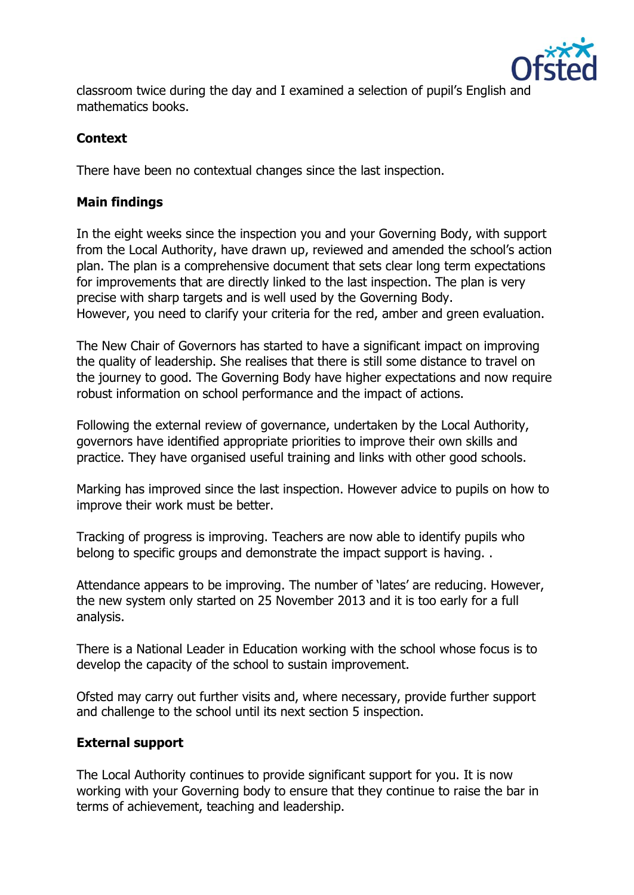

classroom twice during the day and I examined a selection of pupil's English and mathematics books.

# **Context**

There have been no contextual changes since the last inspection.

### **Main findings**

In the eight weeks since the inspection you and your Governing Body, with support from the Local Authority, have drawn up, reviewed and amended the school's action plan. The plan is a comprehensive document that sets clear long term expectations for improvements that are directly linked to the last inspection. The plan is very precise with sharp targets and is well used by the Governing Body. However, you need to clarify your criteria for the red, amber and green evaluation.

The New Chair of Governors has started to have a significant impact on improving the quality of leadership. She realises that there is still some distance to travel on the journey to good. The Governing Body have higher expectations and now require robust information on school performance and the impact of actions.

Following the external review of governance, undertaken by the Local Authority, governors have identified appropriate priorities to improve their own skills and practice. They have organised useful training and links with other good schools.

Marking has improved since the last inspection. However advice to pupils on how to improve their work must be better.

Tracking of progress is improving. Teachers are now able to identify pupils who belong to specific groups and demonstrate the impact support is having. .

Attendance appears to be improving. The number of 'lates' are reducing. However, the new system only started on 25 November 2013 and it is too early for a full analysis.

There is a National Leader in Education working with the school whose focus is to develop the capacity of the school to sustain improvement.

Ofsted may carry out further visits and, where necessary, provide further support and challenge to the school until its next section 5 inspection.

# **External support**

The Local Authority continues to provide significant support for you. It is now working with your Governing body to ensure that they continue to raise the bar in terms of achievement, teaching and leadership.